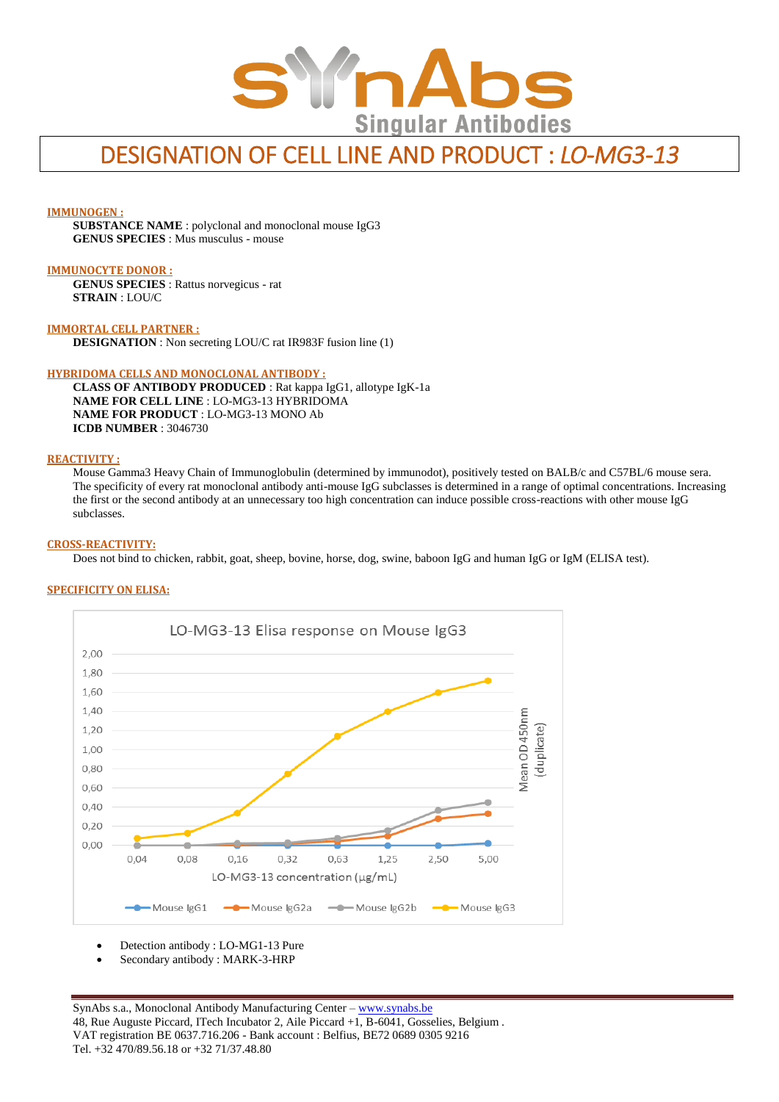

# DESIGNATION OF CELL LINE AND PRODUCT : *LO-MG3-13*

#### **IMMUNOGEN :**

**SUBSTANCE NAME** : polyclonal and monoclonal mouse IgG3 **GENUS SPECIES** : Mus musculus - mouse

#### **IMMUNOCYTE DONOR :**

**GENUS SPECIES** : Rattus norvegicus - rat **STRAIN** : LOU/C

**IMMORTAL CELL PARTNER : DESIGNATION** : Non secreting LOU/C rat IR983F fusion line (1)

#### **HYBRIDOMA CELLS AND MONOCLONAL ANTIBODY :**

**CLASS OF ANTIBODY PRODUCED** : Rat kappa IgG1, allotype IgK-1a **NAME FOR CELL LINE** : LO-MG3-13 HYBRIDOMA **NAME FOR PRODUCT** : LO-MG3-13 MONO Ab **ICDB NUMBER** : 3046730

## **REACTIVITY :**

Mouse Gamma3 Heavy Chain of Immunoglobulin (determined by immunodot), positively tested on BALB/c and C57BL/6 mouse sera. The specificity of every rat monoclonal antibody anti-mouse IgG subclasses is determined in a range of optimal concentrations. Increasing the first or the second antibody at an unnecessary too high concentration can induce possible cross-reactions with other mouse IgG subclasses.

#### **CROSS-REACTIVITY:**

Does not bind to chicken, rabbit, goat, sheep, bovine, horse, dog, swine, baboon IgG and human IgG or IgM (ELISA test).

#### **SPECIFICITY ON ELISA:**



Detection antibody : LO-MG1-13 Pure

Secondary antibody : MARK-3-HRP

SynAbs s.a., Monoclonal Antibody Manufacturing Center - [www.synabs.be](http://www.synabs.be/) 48, Rue Auguste Piccard, ITech Incubator 2, Aile Piccard +1, B-6041, Gosselies, Belgium . VAT registration BE 0637.716.206 - Bank account : Belfius, BE72 0689 0305 9216 Tel. +32 470/89.56.18 or +32 71/37.48.80